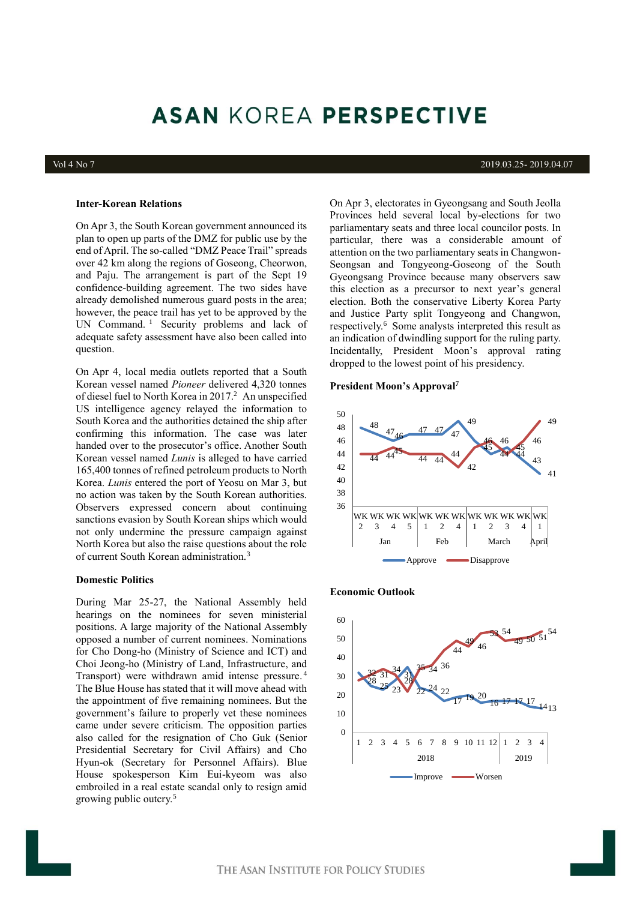# **ASAN KOREA PERSPECTIVE**

#### Vol 4 No 7 2019.03.25- 2019.04.07

### **Inter-Korean Relations**

On Apr 3, the South Korean government announced its plan to open up parts of the DMZ for public use by the end of April. The so-called "DMZ Peace Trail" spreads over 42 km along the regions of Goseong, Cheorwon, and Paju. The arrangement is part of the Sept 19 confidence-building agreement. The two sides have already demolished numerous guard posts in the area; however, the peace trail has yet to be approved by the UN Command.<sup>1</sup> Security problems and lack of adequate safety assessment have also been called into question.

On Apr 4, local media outlets reported that a South Korean vessel named *Pioneer* delivered 4,320 tonnes of diesel fuel to North Korea in 2017. <sup>2</sup> An unspecified US intelligence agency relayed the information to South Korea and the authorities detained the ship after confirming this information. The case was later handed over to the prosecutor's office. Another South Korean vessel named *Lunis* is alleged to have carried 165,400 tonnes of refined petroleum products to North Korea. *Lunis* entered the port of Yeosu on Mar 3, but no action was taken by the South Korean authorities. Observers expressed concern about continuing sanctions evasion by South Korean ships which would not only undermine the pressure campaign against North Korea but also the raise questions about the role of current South Korean administration.<sup>3</sup>

## **Domestic Politics**

During Mar 25-27, the National Assembly held hearings on the nominees for seven ministerial positions. A large majority of the National Assembly opposed a number of current nominees. Nominations for Cho Dong-ho (Ministry of Science and ICT) and Choi Jeong-ho (Ministry of Land, Infrastructure, and Transport) were withdrawn amid intense pressure. 4 The Blue House has stated that it will move ahead with the appointment of five remaining nominees. But the government's failure to properly vet these nominees came under severe criticism. The opposition parties also called for the resignation of Cho Guk (Senior Presidential Secretary for Civil Affairs) and Cho Hyun-ok (Secretary for Personnel Affairs). Blue House spokesperson Kim Eui-kyeom was also embroiled in a real estate scandal only to resign amid growing public outcry.<sup>5</sup>

On Apr 3, electorates in Gyeongsang and South Jeolla Provinces held several local by-elections for two parliamentary seats and three local councilor posts. In particular, there was a considerable amount of attention on the two parliamentary seats in Changwon-Seongsan and Tongyeong-Goseong of the South Gyeongsang Province because many observers saw this election as a precursor to next year's general election. Both the conservative Liberty Korea Party and Justice Party split Tongyeong and Changwon, respectively.<sup>6</sup> Some analysts interpreted this result as an indication of dwindling support for the ruling party. Incidentally, President Moon's approval rating dropped to the lowest point of his presidency.

#### **President Moon's Approval<sup>7</sup>**